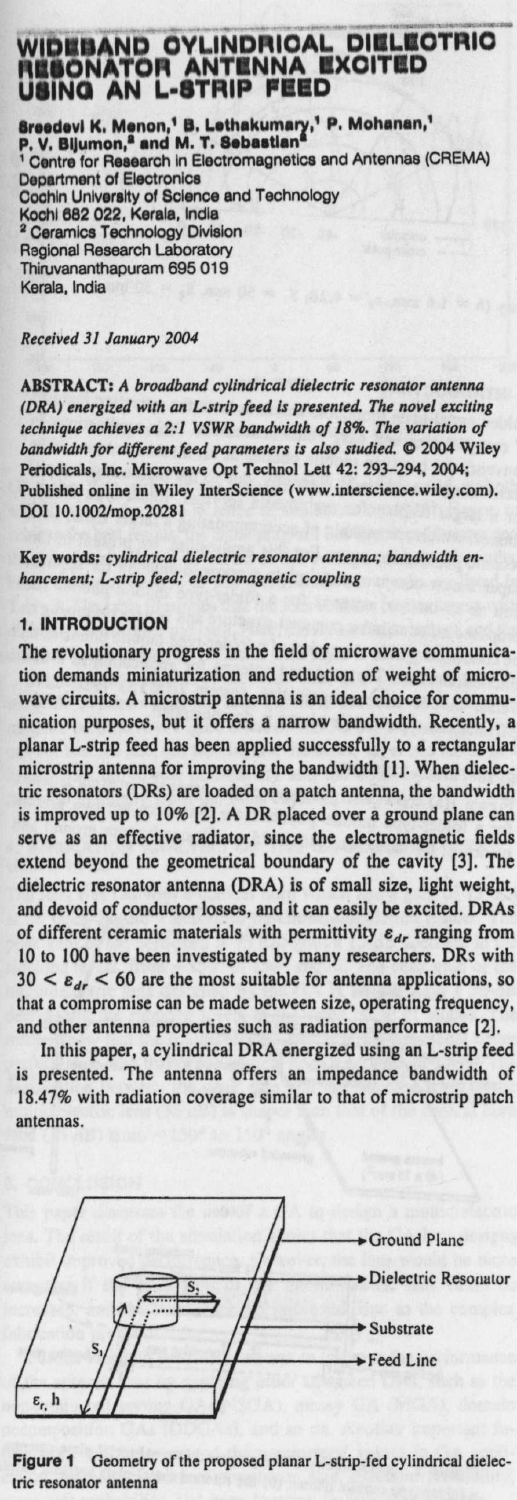## **DIELEOTRIO REBONATOR ANTENNA EXCITED UIINO AN L•STRIP FRED**

Sreedevi K. Menon,<sup>1</sup> B. Lethakumary,<sup>1</sup> P. Mohanan,<sup>1</sup><br>P. V. Bijumon,<sup>a</sup> and M. T. Sebastian<sup>a</sup><br>1 Centre for Research in Electromagnetics and Antennas (CREMA)<br>Department of Electronics Cochin University **of Science and** Technology **Kochi 882 022** , **Kerala, India 7 Ceramics** Technology Division **Regional Research** Laboratory Thiruvananthapuram 695 019 Kerala. India

**Received 31 January 2004**

**ABSTRACT**: **A** *broadband cylindrical dielectric resonator antenna (DRA) energized* **with an** *L-strip feed is presented The novel exciting technique achieves a 2:1 VSWR bandwidth* of 18%. *The variation of bandwidth for different feed parameters is also studied.* 0 **2004 Wiley Periodicals**, **Inc. Microwave Opt Technol Lett 42**: **293-294, 2004; Published online in Wiley InterScience** (**www.interscience**.**wiley.com). DOI 10.1002/mop.20281**

**Key words**: *cylindrical dielectric resonator antenna; bandwidth en***hancement**; *L-strip feed; electromagnetic coupling*

## **1. INTRODUCTION**

The revolutionary **progress in the field of microwave communication demands miniaturization and reduction of weight** of micro**wave circuits**. A microstrip **antenna is an ideal choice for communication purposes**, **but it offers a narrow bandwidth** . **Recently, a** planar L-**strip feed has been applied** successfully **to a rectangular microstrip antenna** for improving the bandwidth [1]. When dielec**tric resonators** (DRs) are loaded on a patch **antenna**, the bandwidth **is improved** up to 10% [2]. A DR placed **over a ground plane can serve as an** effective **radiator**, **since the electromagnetic fields extend beyond the geometrical** boundary of the cavity (3]. The **dielectric resonator antenna** (DRA) is of small **size**, **light weight, and devoid** of conductor **losses**, **and it can easily be** excited. DRAs of different ceramic materials with permittivity  $\varepsilon_{dr}$  ranging from 10 to 100 have **been investigated** by many researchers. DRs with  $30 < \varepsilon_{d_r}$  < 60 are the most suitable for antenna applications, so **that a compromise can be made between size, operating** frequency, **and other antenna** properties **such as radiation** performance [2].

**In this paper** , a cylindrical DRA energized using an L-strip feed is presented. The antenna offers an impedance bandwidth of 18.47% with radiation coverage similar to that of microstrip patch **antennas.**



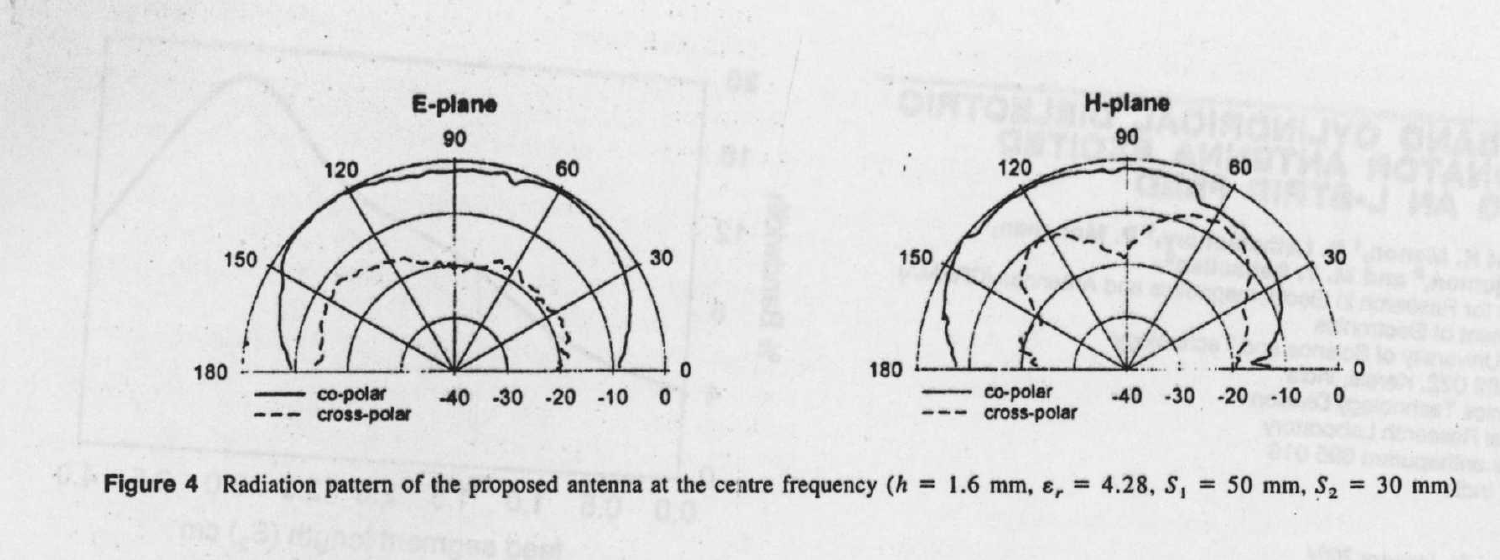



**Figure 4** Radiation pattern of the proposed antenna at the centre frequency ( $h = 1.6$  mm,  $\varepsilon$ , = 4.28,  $S_1 = 50$  mm,  $S_2 = 30$  mm)